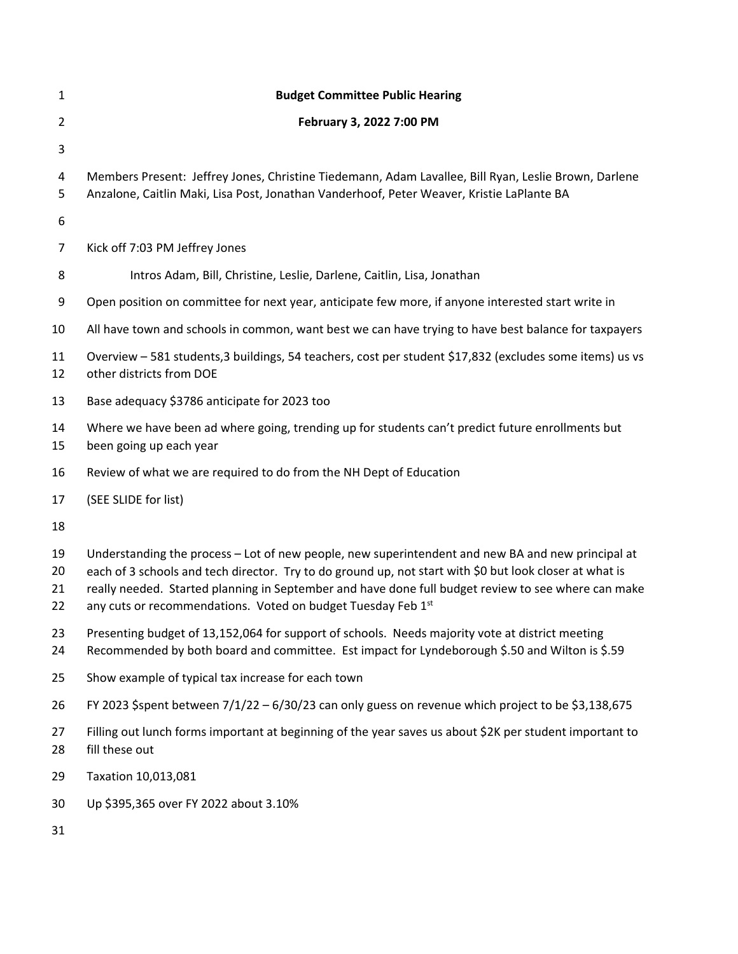| $\mathbf{1}$         | <b>Budget Committee Public Hearing</b>                                                                                                                                                                                                                                                                                                                                              |
|----------------------|-------------------------------------------------------------------------------------------------------------------------------------------------------------------------------------------------------------------------------------------------------------------------------------------------------------------------------------------------------------------------------------|
| $\overline{2}$       | February 3, 2022 7:00 PM                                                                                                                                                                                                                                                                                                                                                            |
| 3                    |                                                                                                                                                                                                                                                                                                                                                                                     |
| 4<br>5               | Members Present: Jeffrey Jones, Christine Tiedemann, Adam Lavallee, Bill Ryan, Leslie Brown, Darlene<br>Anzalone, Caitlin Maki, Lisa Post, Jonathan Vanderhoof, Peter Weaver, Kristie LaPlante BA                                                                                                                                                                                   |
| 6                    |                                                                                                                                                                                                                                                                                                                                                                                     |
| 7                    | Kick off 7:03 PM Jeffrey Jones                                                                                                                                                                                                                                                                                                                                                      |
| 8                    | Intros Adam, Bill, Christine, Leslie, Darlene, Caitlin, Lisa, Jonathan                                                                                                                                                                                                                                                                                                              |
| 9                    | Open position on committee for next year, anticipate few more, if anyone interested start write in                                                                                                                                                                                                                                                                                  |
| 10                   | All have town and schools in common, want best we can have trying to have best balance for taxpayers                                                                                                                                                                                                                                                                                |
| 11<br>12             | Overview - 581 students, 3 buildings, 54 teachers, cost per student \$17,832 (excludes some items) us vs<br>other districts from DOE                                                                                                                                                                                                                                                |
| 13                   | Base adequacy \$3786 anticipate for 2023 too                                                                                                                                                                                                                                                                                                                                        |
| 14<br>15             | Where we have been ad where going, trending up for students can't predict future enrollments but<br>been going up each year                                                                                                                                                                                                                                                         |
| 16                   | Review of what we are required to do from the NH Dept of Education                                                                                                                                                                                                                                                                                                                  |
| 17                   | (SEE SLIDE for list)                                                                                                                                                                                                                                                                                                                                                                |
| 18                   |                                                                                                                                                                                                                                                                                                                                                                                     |
| 19<br>20<br>21<br>22 | Understanding the process - Lot of new people, new superintendent and new BA and new principal at<br>each of 3 schools and tech director. Try to do ground up, not start with \$0 but look closer at what is<br>really needed. Started planning in September and have done full budget review to see where can make<br>any cuts or recommendations. Voted on budget Tuesday Feb 1st |
| 23<br>24             | Presenting budget of 13,152,064 for support of schools. Needs majority vote at district meeting<br>Recommended by both board and committee. Est impact for Lyndeborough \$.50 and Wilton is \$.59                                                                                                                                                                                   |
| 25                   | Show example of typical tax increase for each town                                                                                                                                                                                                                                                                                                                                  |
| 26                   | FY 2023 \$spent between $7/1/22 - 6/30/23$ can only guess on revenue which project to be \$3,138,675                                                                                                                                                                                                                                                                                |
| 27<br>28             | Filling out lunch forms important at beginning of the year saves us about \$2K per student important to<br>fill these out                                                                                                                                                                                                                                                           |
| 29                   | Taxation 10,013,081                                                                                                                                                                                                                                                                                                                                                                 |
| 30                   | Up \$395,365 over FY 2022 about 3.10%                                                                                                                                                                                                                                                                                                                                               |
|                      |                                                                                                                                                                                                                                                                                                                                                                                     |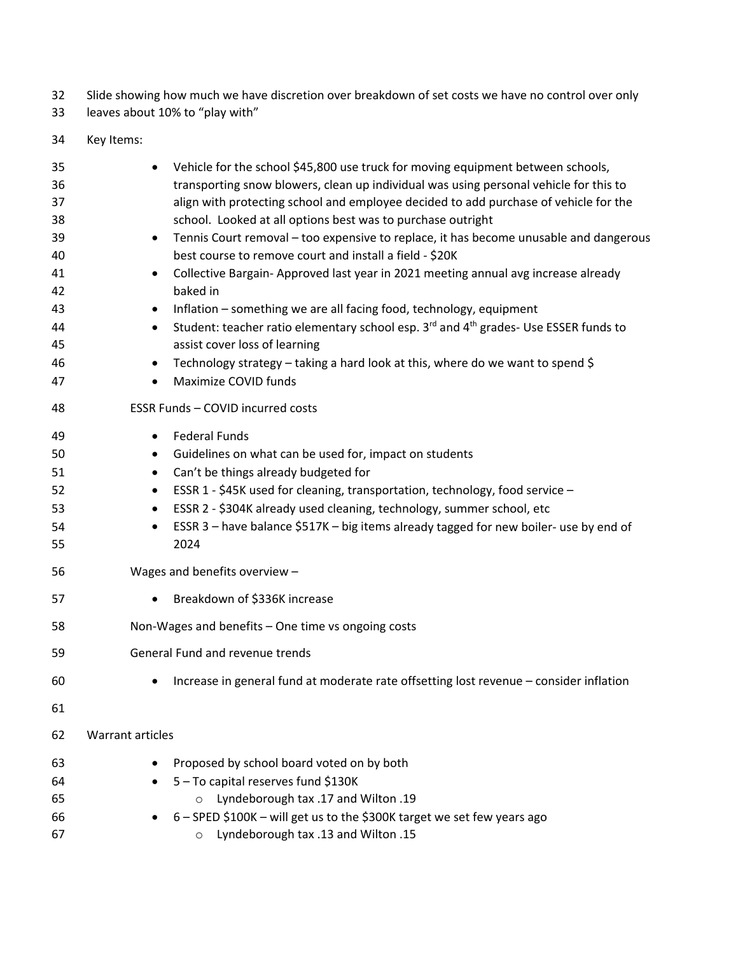- Slide showing how much we have discretion over breakdown of set costs we have no control over only
- leaves about 10% to "play with"
- Key Items:

| Vehicle for the school \$45,800 use truck for moving equipment between schools,                                           |
|---------------------------------------------------------------------------------------------------------------------------|
| transporting snow blowers, clean up individual was using personal vehicle for this to                                     |
| align with protecting school and employee decided to add purchase of vehicle for the                                      |
| school. Looked at all options best was to purchase outright                                                               |
| Tennis Court removal - too expensive to replace, it has become unusable and dangerous<br>$\bullet$                        |
| best course to remove court and install a field - \$20K                                                                   |
| Collective Bargain-Approved last year in 2021 meeting annual avg increase already<br>$\bullet$                            |
| baked in                                                                                                                  |
| Inflation - something we are all facing food, technology, equipment                                                       |
| Student: teacher ratio elementary school esp. 3 <sup>rd</sup> and 4 <sup>th</sup> grades- Use ESSER funds to<br>$\bullet$ |
| assist cover loss of learning                                                                                             |
| Technology strategy - taking a hard look at this, where do we want to spend \$<br>$\bullet$                               |
| Maximize COVID funds<br>$\bullet$                                                                                         |
| ESSR Funds - COVID incurred costs                                                                                         |
| <b>Federal Funds</b><br>$\bullet$                                                                                         |
| Guidelines on what can be used for, impact on students<br>٠                                                               |
| Can't be things already budgeted for<br>٠                                                                                 |
| ESSR 1 - \$45K used for cleaning, transportation, technology, food service -<br>٠                                         |
| ESSR 2 - \$304K already used cleaning, technology, summer school, etc<br>٠                                                |
| ESSR 3 - have balance \$517K - big items already tagged for new boiler-use by end of<br>$\bullet$                         |
| 2024                                                                                                                      |
| Wages and benefits overview -                                                                                             |
| Breakdown of \$336K increase<br>$\bullet$                                                                                 |
| Non-Wages and benefits - One time vs ongoing costs                                                                        |
| General Fund and revenue trends                                                                                           |
| Increase in general fund at moderate rate offsetting lost revenue - consider inflation<br>٠                               |
|                                                                                                                           |
| <b>Warrant articles</b>                                                                                                   |
| Proposed by school board voted on by both                                                                                 |
| 5 - To capital reserves fund \$130K                                                                                       |
| Lyndeborough tax .17 and Wilton .19<br>$\circ$                                                                            |
| 6 - SPED \$100K - will get us to the \$300K target we set few years ago                                                   |
| Lyndeborough tax .13 and Wilton .15<br>$\circ$                                                                            |
|                                                                                                                           |